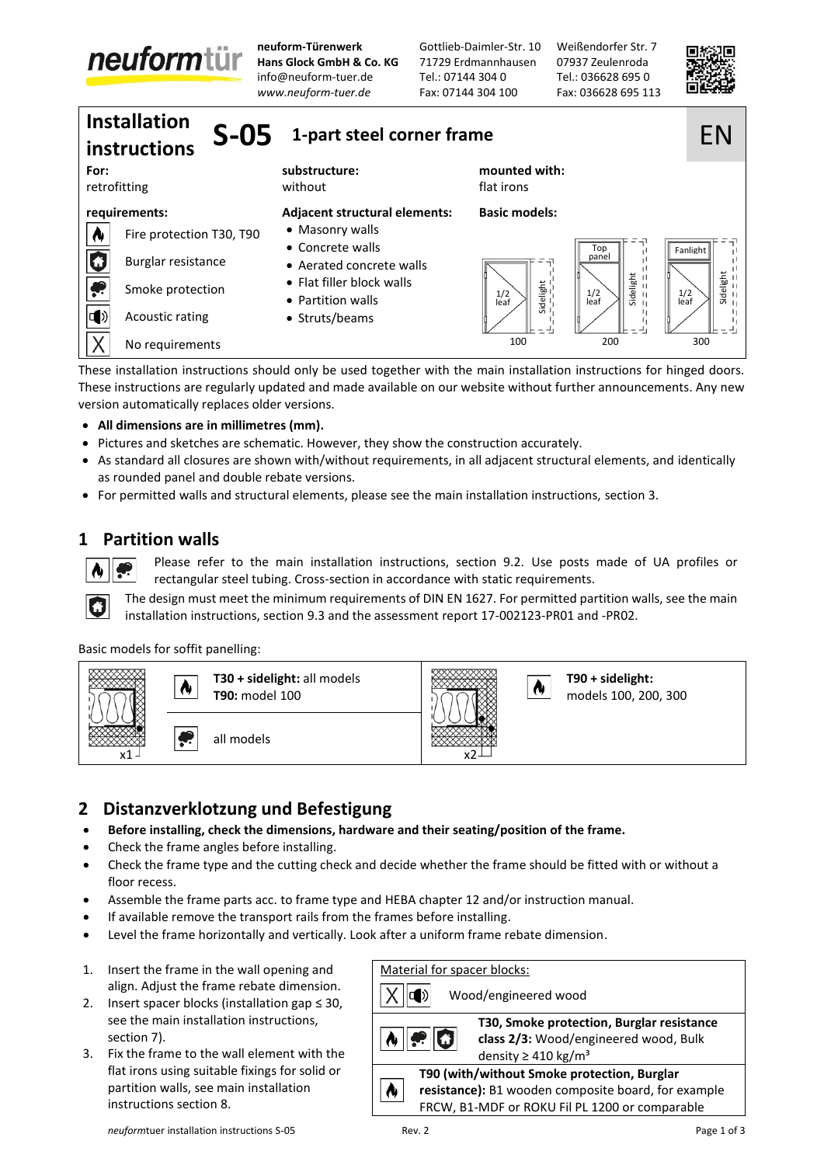

**neuform-Türenwerk Hans Glock GmbH & Co. KG** [info@neuform-tuer.de](mailto:info@neuform-tuer.de) *[www.neuform-tuer.de](http://www.neuform-tuer.com/)*

Gottlieb-Daimler-Str. 10 71729 Erdmannhausen Tel.: 07144 304 0 Fax: 07144 304 100

Weißendorfer Str. 7 07937 Zeulenroda Tel.: 036628 695 0 Fax: 036628 695 113



| <b>Installation</b><br>$S-05$<br>instructions |                          | 1-part steel corner frame                      | EN                                        |                                                                         |
|-----------------------------------------------|--------------------------|------------------------------------------------|-------------------------------------------|-------------------------------------------------------------------------|
| For:                                          | retrofitting             | substructure:<br>without                       | mounted with:<br>flat irons               |                                                                         |
| requirements:                                 |                          | Adjacent structural elements:                  | <b>Basic models:</b>                      |                                                                         |
| N                                             | Fire protection T30, T90 | • Masonry walls<br>• Concrete walls            |                                           |                                                                         |
| G                                             | Burglar resistance       | • Aerated concrete walls                       | Top<br>panel                              | Fanlight                                                                |
| پ                                             | Smoke protection         | • Flat filler block walls<br>• Partition walls | Sidelight<br>1/2<br>$\frac{1}{2}$<br>leaf | Sidelight<br>$=$ = = = = =<br>Sidelight<br>$=$ = = = :<br>$\frac{1}{2}$ |
| $\ket{1}$                                     | Acoustic rating          | • Struts/beams                                 |                                           |                                                                         |
|                                               | No requirements          |                                                | 100                                       | 200<br>300                                                              |

These installation instructions should only be used together with the main installation instructions for hinged doors. These instructions are regularly updated and made available on our website without further announcements. Any new version automatically replaces older versions.

- **All dimensions are in millimetres (mm).**
- Pictures and sketches are schematic. However, they show the construction accurately.
- As standard all closures are shown with/without requirements, in all adjacent structural elements, and identically as rounded panel and double rebate versions.
- For permitted walls and structural elements, please see the main installation instructions, section 3.

## **1 Partition walls**

O

Please refer to the main installation instructions, section 9.2. Use posts made of UA profiles or rectangular steel tubing. Cross-section in accordance with static requirements.

The design must meet the minimum requirements of DIN EN 1627. For permitted partition walls, see the main installation instructions, section 9.3 and the assessment report 17-002123-PR01 and -PR02.

### Basic models for soffit panelling:



## **2 Distanzverklotzung und Befestigung**

- **Before installing, check the dimensions, hardware and their seating/position of the frame.**
- Check the frame angles before installing.
- Check the frame type and the cutting check and decide whether the frame should be fitted with or without a floor recess.
- Assemble the frame parts acc. to frame type and HEBA chapter 12 and/or instruction manual.
- If available remove the transport rails from the frames before installing.
- Level the frame horizontally and vertically. Look after a uniform frame rebate dimension.
- 1. Insert the frame in the wall opening and align. Adjust the frame rebate dimension.
- 2. Insert spacer blocks (installation gap  $\leq 30$ , see the main installation instructions, section 7).
- 3. Fix the frame to the wall element with the flat irons using suitable fixings for solid or partition walls, see main installation instructions section 8.

| ck walls<br>lls                                                                                                                                                                                                                                     | 들<br>1/2<br>ē<br>leaf                                                               | Sidelig<br>Н<br>$\frac{1}{2}$<br>П<br>п                                            | Sideli<br>1/2<br>п<br>leaf |  |  |  |
|-----------------------------------------------------------------------------------------------------------------------------------------------------------------------------------------------------------------------------------------------------|-------------------------------------------------------------------------------------|------------------------------------------------------------------------------------|----------------------------|--|--|--|
| ۱S                                                                                                                                                                                                                                                  |                                                                                     |                                                                                    |                            |  |  |  |
|                                                                                                                                                                                                                                                     | 100                                                                                 | 200                                                                                | 300                        |  |  |  |
| together with the main installation instructions for hinged doors.<br>available on our website without further announcements. Any new                                                                                                               |                                                                                     |                                                                                    |                            |  |  |  |
| hey show the construction accurately.<br>trequirements, in all adjacent structural elements, and identically                                                                                                                                        |                                                                                     |                                                                                    |                            |  |  |  |
| ase see the main installation instructions, section 3.                                                                                                                                                                                              |                                                                                     |                                                                                    |                            |  |  |  |
| n instructions, section 9.2. Use posts made of UA profiles or<br>in accordance with static requirements.<br>ements of DIN EN 1627. For permitted partition walls, see the main<br>e assessment report 17-002123-PR01 and -PR02.                     |                                                                                     |                                                                                    |                            |  |  |  |
|                                                                                                                                                                                                                                                     | x2                                                                                  | T90 + sidelight:<br>models 100, 200, 300                                           |                            |  |  |  |
| ıng<br>ware and their seating/position of the frame.<br>d decide whether the frame should be fitted with or without a<br>nd HEBA chapter 12 and/or instruction manual.<br>e frames before installing.<br>ok after a uniform frame rebate dimension. |                                                                                     |                                                                                    |                            |  |  |  |
| Material for spacer blocks:                                                                                                                                                                                                                         |                                                                                     |                                                                                    |                            |  |  |  |
| CD)                                                                                                                                                                                                                                                 | Wood/engineered wood                                                                |                                                                                    |                            |  |  |  |
|                                                                                                                                                                                                                                                     |                                                                                     | T30, Smoke protection, Burglar resistance<br>class 2/3: Wood/engineered wood, Bulk |                            |  |  |  |
|                                                                                                                                                                                                                                                     | density $\geq$ 410 kg/m <sup>3</sup><br>T90 (with/without Smoke protection, Burglar |                                                                                    |                            |  |  |  |
|                                                                                                                                                                                                                                                     | resistance): B1 wooden composite board, for example                                 |                                                                                    |                            |  |  |  |
|                                                                                                                                                                                                                                                     | FRCW, B1-MDF or ROKU Fil PL 1200 or comparable                                      |                                                                                    |                            |  |  |  |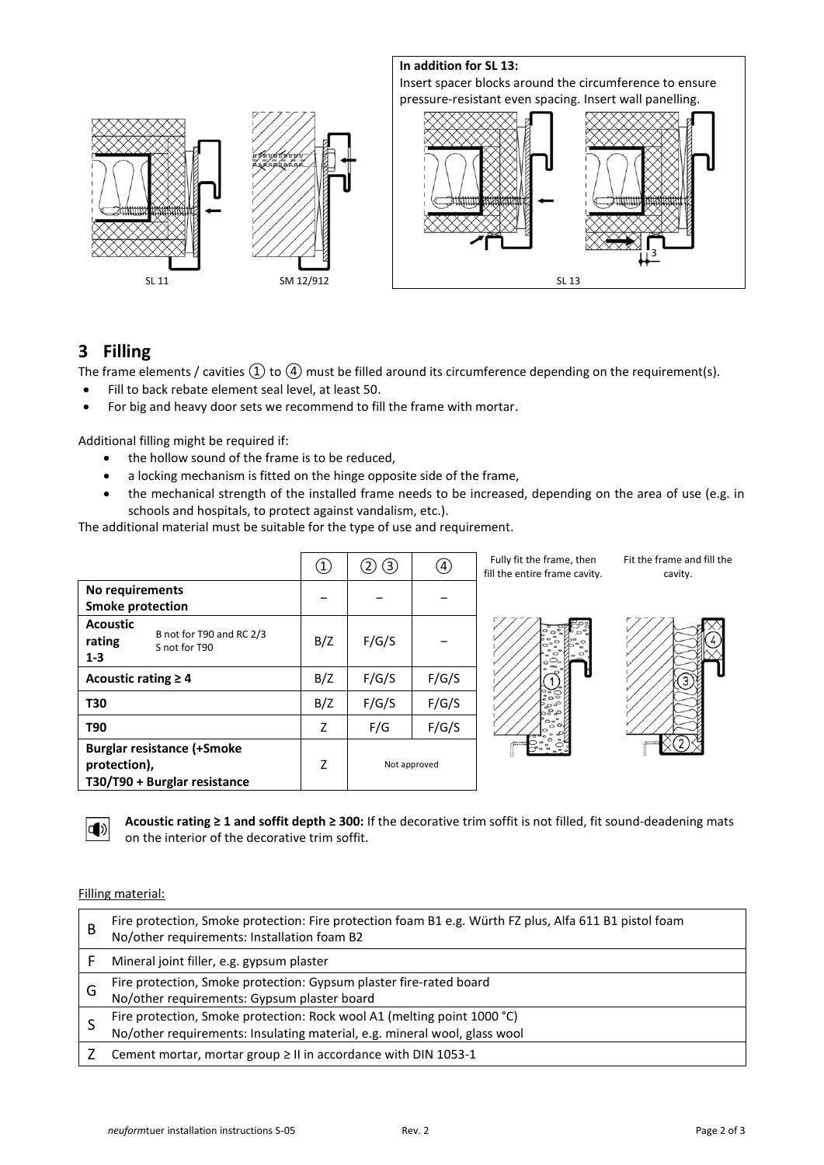

## **3 Filling**

The frame elements / cavities  $\textcircled{1}$  to  $\textcircled{4}$  must be filled around its circumference depending on the requirement(s).

- Fill to back rebate element seal level, at least 50.
- For big and heavy door sets we recommend to fill the frame with mortar.

Additional filling might be required if:

- the hollow sound of the frame is to be reduced,
- a locking mechanism is fitted on the hinge opposite side of the frame,
- the mechanical strength of the installed frame needs to be increased, depending on the area of use (e.g. in schools and hospitals, to protect against vandalism, etc.).

The additional material must be suitable for the type of use and requirement.

|                                                                                   | $\begin{pmatrix} 1 \end{pmatrix}$ | $\circled{3}$<br>$\left( 2\right)$ | ④            | Fully fit the frame, then<br>fill the entire frame cavity. | Fit the frame and fill the<br>cavity. |
|-----------------------------------------------------------------------------------|-----------------------------------|------------------------------------|--------------|------------------------------------------------------------|---------------------------------------|
| No requirements<br><b>Smoke protection</b>                                        |                                   |                                    |              |                                                            |                                       |
| <b>Acoustic</b><br>B not for T90 and RC 2/3<br>rating<br>S not for T90<br>$1 - 3$ | B/Z                               | F/G/S                              |              | $\circ$                                                    |                                       |
| Acoustic rating $\geq 4$                                                          | B/Z                               | F/G/S                              | F/G/S        | ш                                                          |                                       |
| <b>T30</b>                                                                        | B/Z                               | F/G/S                              | F/G/S        | ိဳး၀<br>နီ<br>၁၁၁                                          |                                       |
| <b>T90</b>                                                                        | Z.                                | F/G                                | F/G/S        | 'o∘°<br>$\circ$                                            |                                       |
| <b>Burglar resistance (+Smoke</b><br>protection),<br>T30/T90 + Burglar resistance | Z                                 |                                    | Not approved |                                                            |                                       |



**Acoustic rating ≥ 1 and soffit depth ≥ 300:** If the decorative trim soffit is not filled, fit sound-deadening mats on the interior of the decorative trim soffit.

#### Filling material:

| B | Fire protection, Smoke protection: Fire protection foam B1 e.g. Würth FZ plus, Alfa 611 B1 pistol foam<br>No/other requirements: Installation foam B2 |
|---|-------------------------------------------------------------------------------------------------------------------------------------------------------|
|   | Mineral joint filler, e.g. gypsum plaster                                                                                                             |
| G | Fire protection, Smoke protection: Gypsum plaster fire-rated board<br>No/other requirements: Gypsum plaster board                                     |
|   | Fire protection, Smoke protection: Rock wool A1 (melting point 1000 °C)<br>No/other requirements: Insulating material, e.g. mineral wool, glass wool  |
|   | Cement mortar, mortar group ≥ II in accordance with DIN 1053-1                                                                                        |